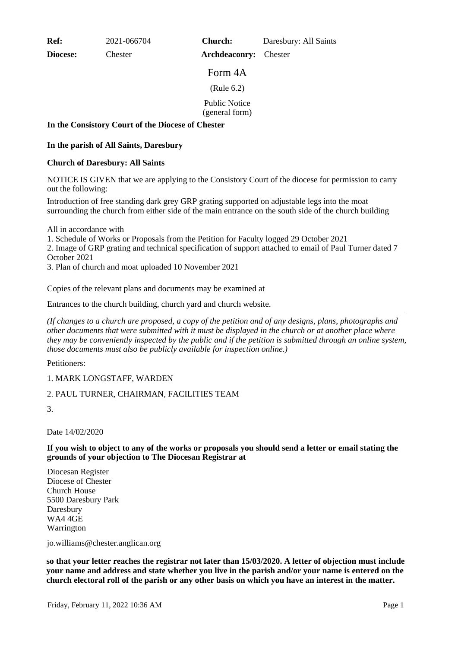**Ref:** 2021-066704

**Diocese:** Chester

**Church:** Daresbury: All Saints

Form 4A

**Archdeaconry:** Chester

(Rule 6.2)

Public Notice

(general form)

### **In the Consistory Court of the Diocese of Chester**

# **In the parish of All Saints, Daresbury**

#### **Church of Daresbury: All Saints**

NOTICE IS GIVEN that we are applying to the Consistory Court of the diocese for permission to carry out the following:

Introduction of free standing dark grey GRP grating supported on adjustable legs into the moat surrounding the church from either side of the main entrance on the south side of the church building

All in accordance with

1. Schedule of Works or Proposals from the Petition for Faculty logged 29 October 2021

2. Image of GRP grating and technical specification of support attached to email of Paul Turner dated 7 October 2021

3. Plan of church and moat uploaded 10 November 2021

Copies of the relevant plans and documents may be examined at

Entrances to the church building, church yard and church website.

*(If changes to a church are proposed, a copy of the petition and of any designs, plans, photographs and other documents that were submitted with it must be displayed in the church or at another place where they may be conveniently inspected by the public and if the petition is submitted through an online system, those documents must also be publicly available for inspection online.)*

Petitioners:

# 1. MARK LONGSTAFF, WARDEN

# 2. PAUL TURNER, CHAIRMAN, FACILITIES TEAM

3.

Date 14/02/2020

#### **If you wish to object to any of the works or proposals you should send a letter or email stating the grounds of your objection to The Diocesan Registrar at**

Diocesan Register Diocese of Chester Church House 5500 Daresbury Park Daresbury WA4 4GE Warrington

jo.williams@chester.anglican.org

**so that your letter reaches the registrar not later than 15/03/2020. A letter of objection must include your name and address and state whether you live in the parish and/or your name is entered on the church electoral roll of the parish or any other basis on which you have an interest in the matter.**